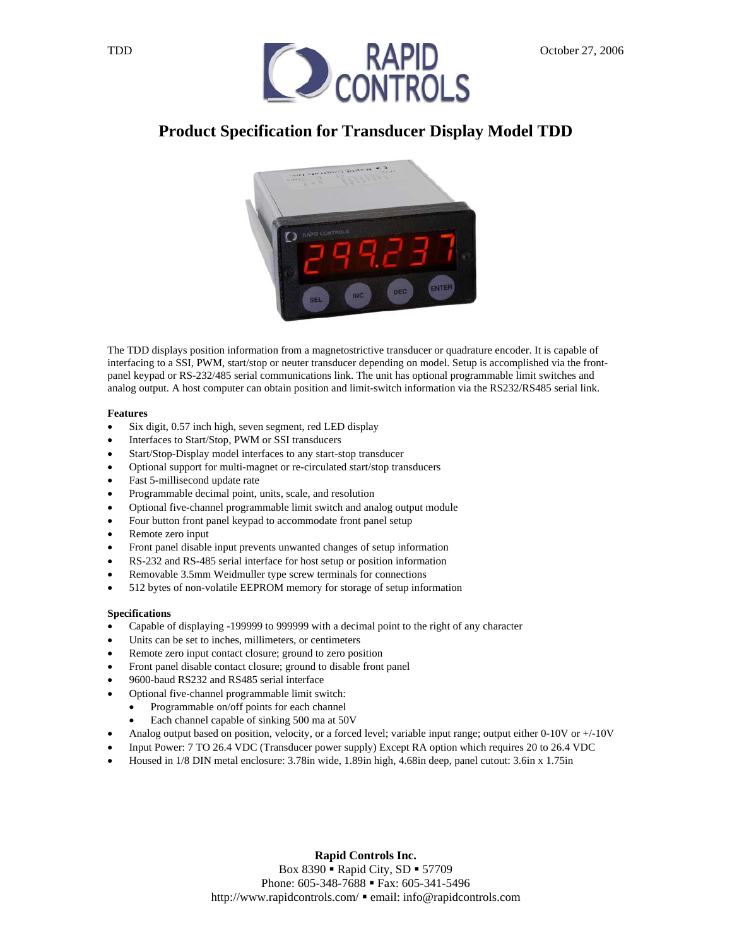

# **Product Specification for Transducer Display Model TDD**



The TDD displays position information from a magnetostrictive transducer or quadrature encoder. It is capable of interfacing to a SSI, PWM, start/stop or neuter transducer depending on model. Setup is accomplished via the frontpanel keypad or RS-232/485 serial communications link. The unit has optional programmable limit switches and analog output. A host computer can obtain position and limit-switch information via the RS232/RS485 serial link.

#### **Features**

- Six digit, 0.57 inch high, seven segment, red LED display
- Interfaces to Start/Stop, PWM or SSI transducers
- Start/Stop-Display model interfaces to any start-stop transducer
- Optional support for multi-magnet or re-circulated start/stop transducers
- Fast 5-millisecond update rate
- Programmable decimal point, units, scale, and resolution
- Optional five-channel programmable limit switch and analog output module
- Four button front panel keypad to accommodate front panel setup
- Remote zero input
- Front panel disable input prevents unwanted changes of setup information
- RS-232 and RS-485 serial interface for host setup or position information
- Removable 3.5mm Weidmuller type screw terminals for connections
- 512 bytes of non-volatile EEPROM memory for storage of setup information

#### **Specifications**

- Capable of displaying -199999 to 999999 with a decimal point to the right of any character
- Units can be set to inches, millimeters, or centimeters
- Remote zero input contact closure; ground to zero position
- Front panel disable contact closure; ground to disable front panel
- 9600-baud RS232 and RS485 serial interface
- Optional five-channel programmable limit switch:
	- Programmable on/off points for each channel
	- Each channel capable of sinking 500 ma at 50V
- Analog output based on position, velocity, or a forced level; variable input range; output either  $0-10V$  or  $+/-10V$
- Input Power: 7 TO 26.4 VDC (Transducer power supply) Except RA option which requires 20 to 26.4 VDC
- Housed in 1/8 DIN metal enclosure: 3.78in wide, 1.89in high, 4.68in deep, panel cutout: 3.6in x 1.75in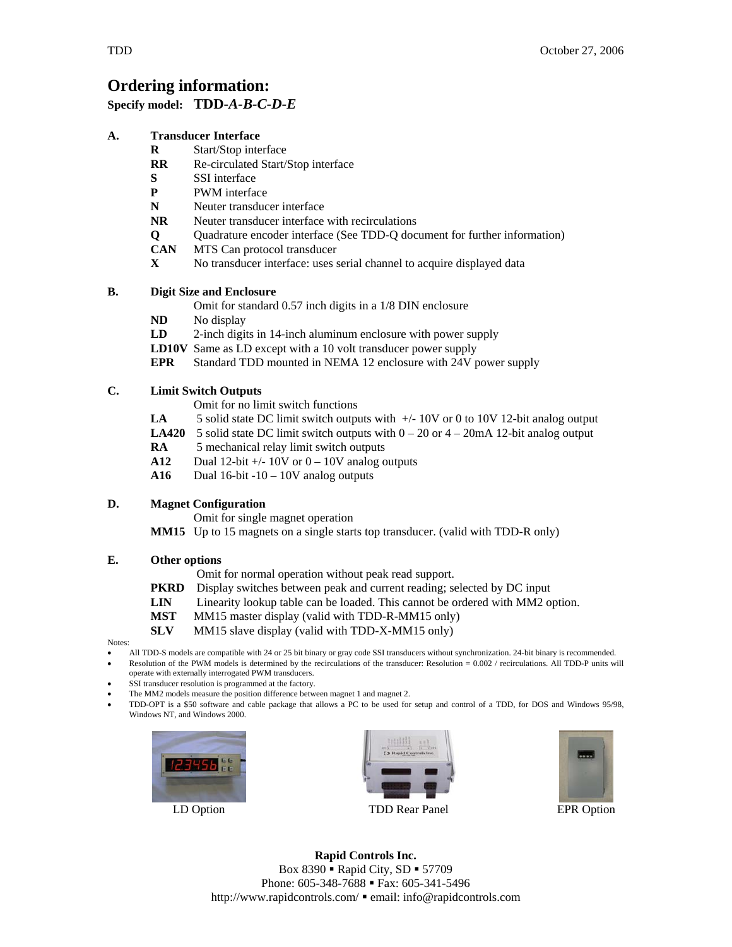# **Ordering information:**

#### **Specify model: TDD-***A-B-C-D-E*

#### **A. Transducer Interface**

- **R** Start/Stop interface
- **RR** Re-circulated Start/Stop interface
- **S** SSI interface
- **P** PWM interface
- **N** Neuter transducer interface
- **NR** Neuter transducer interface with recirculations
- **Q** Quadrature encoder interface (See TDD-Q document for further information)
- **CAN** MTS Can protocol transducer
- **X** No transducer interface: uses serial channel to acquire displayed data

#### **B. Digit Size and Enclosure**

- Omit for standard 0.57 inch digits in a 1/8 DIN enclosure
- **ND** No display
- **LD** 2-inch digits in 14-inch aluminum enclosure with power supply
- **LD10V** Same as LD except with a 10 volt transducer power supply
- **EPR** Standard TDD mounted in NEMA 12 enclosure with 24V power supply

#### **C. Limit Switch Outputs**

- Omit for no limit switch functions
- **LA** 5 solid state DC limit switch outputs with  $+/-10V$  or 0 to 10V 12-bit analog output
- **LA420** 5 solid state DC limit switch outputs with  $0 20$  or  $4 20$ mA 12-bit analog output
- **RA** 5 mechanical relay limit switch outputs
- **A12** Dual 12-bit  $\pm$ /- 10V or  $0 10V$  analog outputs
- **A16** Dual 16-bit -10 10V analog outputs

#### **D. Magnet Configuration**

Omit for single magnet operation

**MM15** Up to 15 magnets on a single starts top transducer. (valid with TDD-R only)

#### **E. Other options**

Omit for normal operation without peak read support.

- **PKRD** Display switches between peak and current reading; selected by DC input
- **LIN** Linearity lookup table can be loaded. This cannot be ordered with MM2 option.
- **MST** MM15 master display (valid with TDD-R-MM15 only)
- **SLV** MM15 slave display (valid with TDD-X-MM15 only)

Notes:

- All TDD-S models are compatible with 24 or 25 bit binary or gray code SSI transducers without synchronization. 24-bit binary is recommended. • Resolution of the PWM models is determined by the recirculations of the transducer: Resolution = 0.002 / recirculations. All TDD-P units will
- operate with externally interrogated PWM transducers. SSI transducer resolution is programmed at the factory.
- The MM2 models measure the position difference between magnet 1 and magnet 2.
- TDD-OPT is a \$50 software and cable package that allows a PC to be used for setup and control of a TDD, for DOS and Windows 95/98, Windows NT, and Windows 2000.







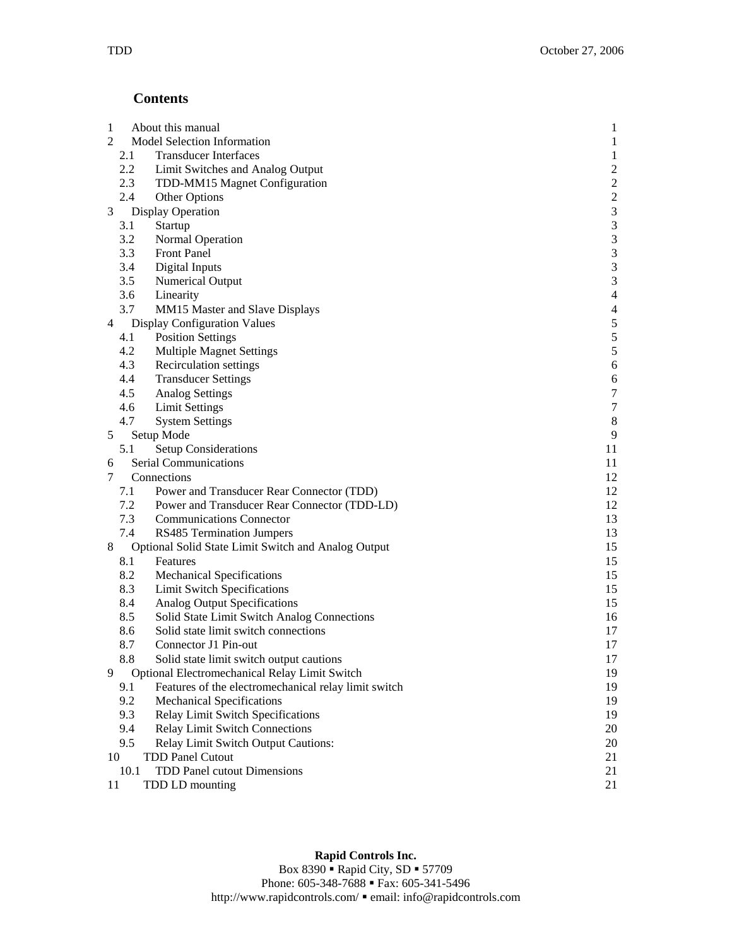## **Contents**

| $\mathbf{1}$ |                          | About this manual                                    | $\mathbf{1}$            |
|--------------|--------------------------|------------------------------------------------------|-------------------------|
| 2            |                          | Model Selection Information                          | $\mathbf{1}$            |
|              | 2.1                      | <b>Transducer Interfaces</b>                         | $\mathbf{1}$            |
|              | 2.2                      | Limit Switches and Analog Output                     | $\overline{\mathbf{c}}$ |
|              | 2.3                      | TDD-MM15 Magnet Configuration                        | $\frac{2}{2}$           |
|              | 2.4                      | Other Options                                        |                         |
| 3            | <b>Display Operation</b> |                                                      | $\overline{\mathbf{3}}$ |
|              | 3.1                      | Startup                                              | 3                       |
|              | 3.2                      | Normal Operation                                     | 3                       |
|              | 3.3                      | <b>Front Panel</b>                                   | 3                       |
|              | 3.4                      | Digital Inputs                                       | 3                       |
|              | 3.5                      | <b>Numerical Output</b>                              | 3                       |
|              | 3.6                      | Linearity                                            | $\overline{4}$          |
|              | 3.7                      | MM15 Master and Slave Displays                       | $\overline{4}$          |
| 4            |                          | <b>Display Configuration Values</b>                  | 5                       |
|              | 4.1                      | <b>Position Settings</b>                             | 5                       |
|              | 4.2                      | <b>Multiple Magnet Settings</b>                      | 5                       |
|              | 4.3                      | Recirculation settings                               | 6                       |
|              | 4.4                      | <b>Transducer Settings</b>                           | 6                       |
|              | 4.5                      | <b>Analog Settings</b>                               | $\boldsymbol{7}$        |
|              | 4.6                      | <b>Limit Settings</b>                                | $\boldsymbol{7}$        |
|              | 4.7                      | <b>System Settings</b>                               | $\boldsymbol{8}$        |
| 5            |                          | Setup Mode                                           | 9                       |
|              | 5.1                      | <b>Setup Considerations</b>                          | 11                      |
| 6            |                          | <b>Serial Communications</b>                         | 11                      |
| 7            | Connections              |                                                      | 12                      |
|              | 7.1                      | Power and Transducer Rear Connector (TDD)            | 12                      |
|              | 7.2                      | Power and Transducer Rear Connector (TDD-LD)         | 12                      |
|              | 7.3                      | <b>Communications Connector</b>                      | 13                      |
|              | 7.4                      | RS485 Termination Jumpers                            | 13                      |
| 8            |                          | Optional Solid State Limit Switch and Analog Output  | 15                      |
|              | 8.1                      | Features                                             | 15                      |
|              | 8.2                      | <b>Mechanical Specifications</b>                     | 15                      |
|              | 8.3                      | <b>Limit Switch Specifications</b>                   | 15                      |
|              | 8.4                      | Analog Output Specifications                         | 15                      |
|              | 8.5                      | Solid State Limit Switch Analog Connections          | 16                      |
|              | 8.6                      | Solid state limit switch connections                 | 17                      |
|              | 8.7                      | Connector J1 Pin-out                                 | 17                      |
|              | 8.8                      | Solid state limit switch output cautions             | 17                      |
| 9            |                          | Optional Electromechanical Relay Limit Switch        | 19                      |
|              | 9.1                      | Features of the electromechanical relay limit switch | 19                      |
|              | 9.2                      | <b>Mechanical Specifications</b>                     | 19                      |
|              | 9.3                      | Relay Limit Switch Specifications                    | 19                      |
|              | 9.4                      | <b>Relay Limit Switch Connections</b>                | 20                      |
|              | 9.5                      | Relay Limit Switch Output Cautions:                  | 20                      |
| 10           |                          | <b>TDD Panel Cutout</b>                              | 21                      |
|              | 10.1                     | TDD Panel cutout Dimensions                          | 21                      |
| 11           |                          | TDD LD mounting                                      | 21                      |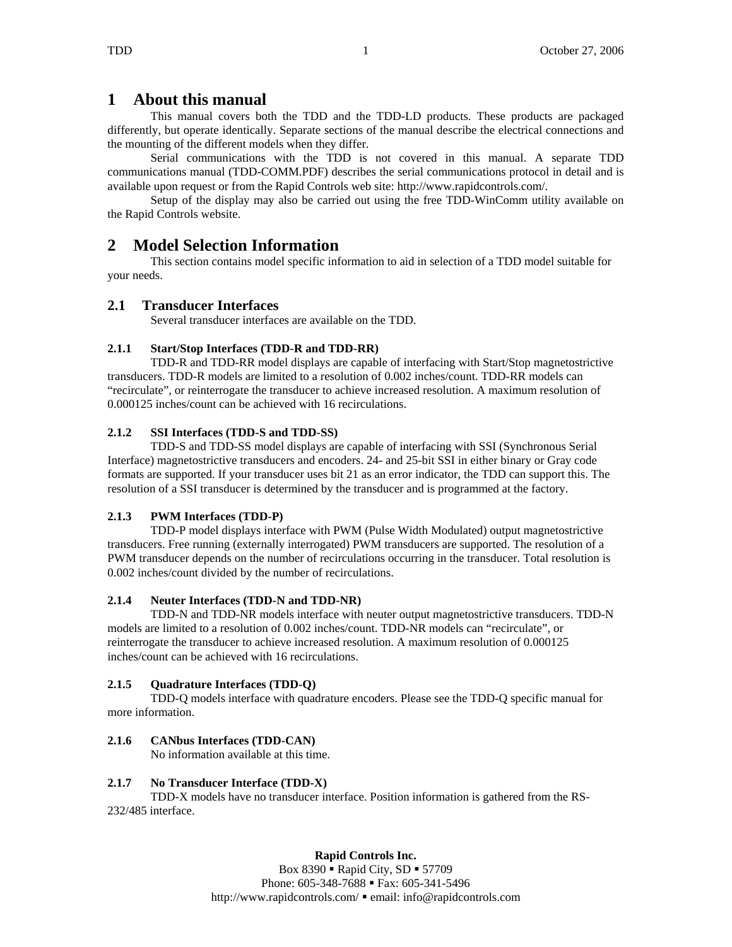## **1 About this manual**

This manual covers both the TDD and the TDD-LD products. These products are packaged differently, but operate identically. Separate sections of the manual describe the electrical connections and the mounting of the different models when they differ.

Serial communications with the TDD is not covered in this manual. A separate TDD communications manual (TDD-COMM.PDF) describes the serial communications protocol in detail and is available upon request or from the Rapid Controls web site: http://www.rapidcontrols.com/.

Setup of the display may also be carried out using the free TDD-WinComm utility available on the Rapid Controls website.

## **2 Model Selection Information**

 This section contains model specific information to aid in selection of a TDD model suitable for your needs.

#### **2.1 Transducer Interfaces**

Several transducer interfaces are available on the TDD.

### **2.1.1 Start/Stop Interfaces (TDD-R and TDD-RR)**

 TDD-R and TDD-RR model displays are capable of interfacing with Start/Stop magnetostrictive transducers. TDD-R models are limited to a resolution of 0.002 inches/count. TDD-RR models can "recirculate", or reinterrogate the transducer to achieve increased resolution. A maximum resolution of 0.000125 inches/count can be achieved with 16 recirculations.

#### **2.1.2 SSI Interfaces (TDD-S and TDD-SS)**

 TDD-S and TDD-SS model displays are capable of interfacing with SSI (Synchronous Serial Interface) magnetostrictive transducers and encoders. 24- and 25-bit SSI in either binary or Gray code formats are supported. If your transducer uses bit 21 as an error indicator, the TDD can support this. The resolution of a SSI transducer is determined by the transducer and is programmed at the factory.

#### **2.1.3 PWM Interfaces (TDD-P)**

 TDD-P model displays interface with PWM (Pulse Width Modulated) output magnetostrictive transducers. Free running (externally interrogated) PWM transducers are supported. The resolution of a PWM transducer depends on the number of recirculations occurring in the transducer. Total resolution is 0.002 inches/count divided by the number of recirculations.

#### **2.1.4 Neuter Interfaces (TDD-N and TDD-NR)**

 TDD-N and TDD-NR models interface with neuter output magnetostrictive transducers. TDD-N models are limited to a resolution of 0.002 inches/count. TDD-NR models can "recirculate", or reinterrogate the transducer to achieve increased resolution. A maximum resolution of 0.000125 inches/count can be achieved with 16 recirculations.

#### **2.1.5 Quadrature Interfaces (TDD-Q)**

 TDD-Q models interface with quadrature encoders. Please see the TDD-Q specific manual for more information.

#### **2.1.6 CANbus Interfaces (TDD-CAN)**

No information available at this time.

#### **2.1.7 No Transducer Interface (TDD-X)**

 TDD-X models have no transducer interface. Position information is gathered from the RS-232/485 interface.

#### **Rapid Controls Inc.**

Box  $8390$   $\blacksquare$  Rapid City, SD  $\blacksquare$  57709 Phone: 605-348-7688 • Fax: 605-341-5496 http://www.rapidcontrols.com/  $\blacksquare$  email: info@rapidcontrols.com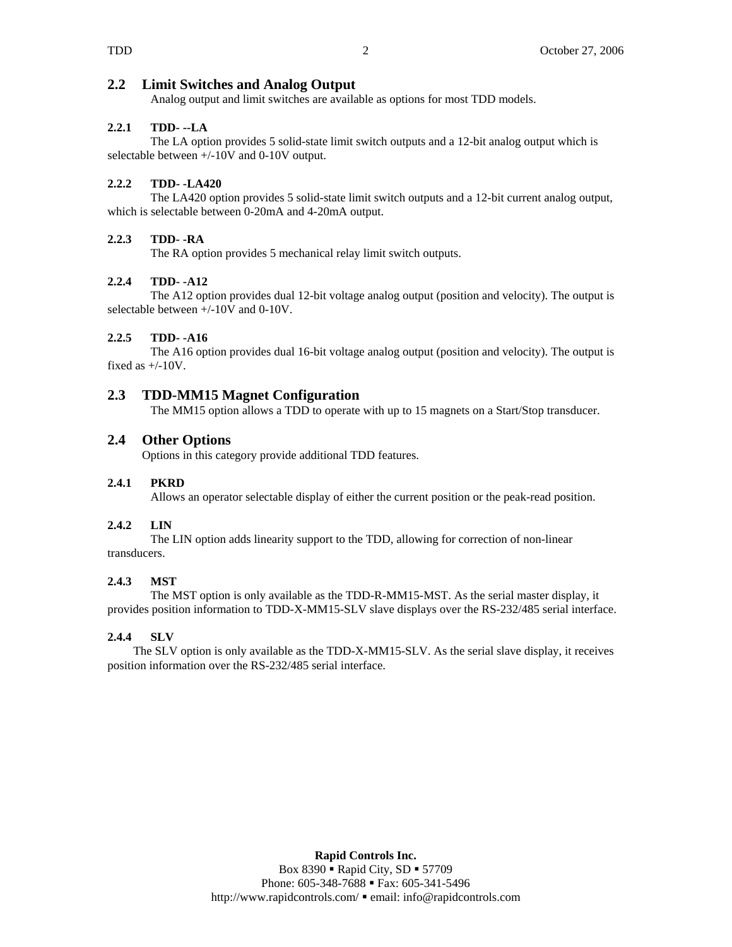#### **2.2 Limit Switches and Analog Output**

Analog output and limit switches are available as options for most TDD models.

#### **2.2.1 TDD- --LA**

 The LA option provides 5 solid-state limit switch outputs and a 12-bit analog output which is selectable between +/-10V and 0-10V output.

#### **2.2.2 TDD- -LA420**

 The LA420 option provides 5 solid-state limit switch outputs and a 12-bit current analog output, which is selectable between 0-20mA and 4-20mA output.

#### **2.2.3 TDD- -RA**

The RA option provides 5 mechanical relay limit switch outputs.

#### **2.2.4 TDD- -A12**

 The A12 option provides dual 12-bit voltage analog output (position and velocity). The output is selectable between +/-10V and 0-10V.

#### **2.2.5 TDD- -A16**

 The A16 option provides dual 16-bit voltage analog output (position and velocity). The output is fixed as  $+/-10V$ .

### **2.3 TDD-MM15 Magnet Configuration**

The MM15 option allows a TDD to operate with up to 15 magnets on a Start/Stop transducer.

### **2.4 Other Options**

Options in this category provide additional TDD features.

#### **2.4.1 PKRD**

Allows an operator selectable display of either the current position or the peak-read position.

#### **2.4.2 LIN**

The LIN option adds linearity support to the TDD, allowing for correction of non-linear transducers.

#### **2.4.3 MST**

The MST option is only available as the TDD-R-MM15-MST. As the serial master display, it provides position information to TDD-X-MM15-SLV slave displays over the RS-232/485 serial interface.

#### **2.4.4 SLV**

The SLV option is only available as the TDD-X-MM15-SLV. As the serial slave display, it receives position information over the RS-232/485 serial interface.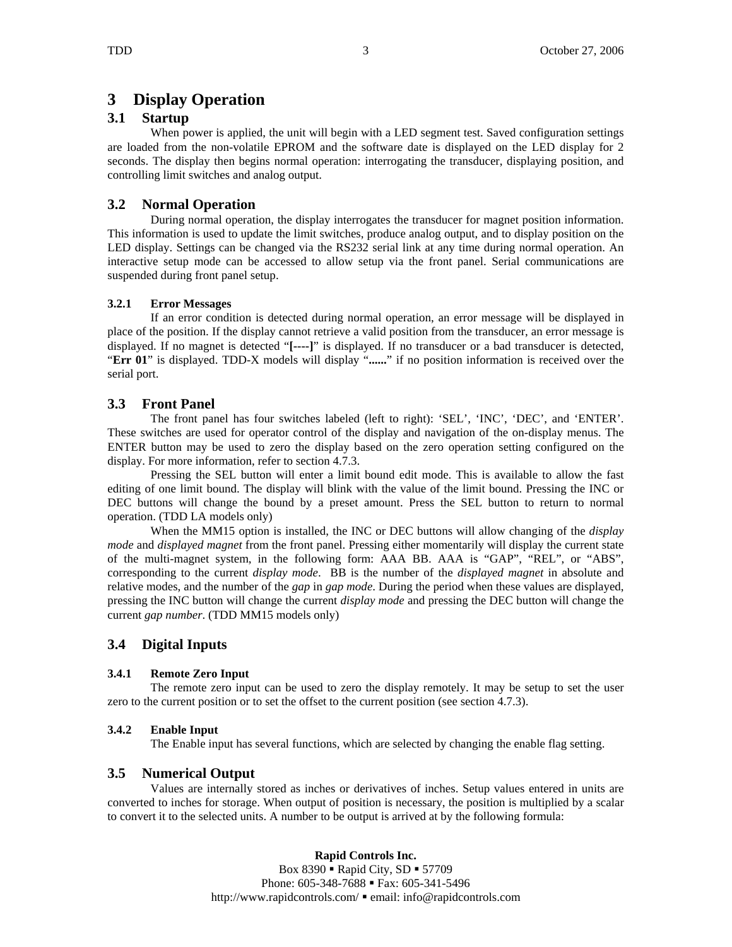# **3 Display Operation**

## **3.1 Startup**

When power is applied, the unit will begin with a LED segment test. Saved configuration settings are loaded from the non-volatile EPROM and the software date is displayed on the LED display for 2 seconds. The display then begins normal operation: interrogating the transducer, displaying position, and controlling limit switches and analog output.

## **3.2 Normal Operation**

During normal operation, the display interrogates the transducer for magnet position information. This information is used to update the limit switches, produce analog output, and to display position on the LED display. Settings can be changed via the RS232 serial link at any time during normal operation. An interactive setup mode can be accessed to allow setup via the front panel. Serial communications are suspended during front panel setup.

#### **3.2.1 Error Messages**

If an error condition is detected during normal operation, an error message will be displayed in place of the position. If the display cannot retrieve a valid position from the transducer, an error message is displayed. If no magnet is detected "**[----]**" is displayed. If no transducer or a bad transducer is detected, "**Err 01**" is displayed. TDD-X models will display "**......**" if no position information is received over the serial port.

## **3.3 Front Panel**

The front panel has four switches labeled (left to right): 'SEL', 'INC', 'DEC', and 'ENTER'. These switches are used for operator control of the display and navigation of the on-display menus. The ENTER button may be used to zero the display based on the zero operation setting configured on the display. For more information, refer to section 4.7.3.

Pressing the SEL button will enter a limit bound edit mode. This is available to allow the fast editing of one limit bound. The display will blink with the value of the limit bound. Pressing the INC or DEC buttons will change the bound by a preset amount. Press the SEL button to return to normal operation. (TDD LA models only)

When the MM15 option is installed, the INC or DEC buttons will allow changing of the *display mode* and *displayed magnet* from the front panel. Pressing either momentarily will display the current state of the multi-magnet system, in the following form: AAA BB. AAA is "GAP", "REL", or "ABS", corresponding to the current *display mode*. BB is the number of the *displayed magnet* in absolute and relative modes, and the number of the *gap* in *gap mode*. During the period when these values are displayed, pressing the INC button will change the current *display mode* and pressing the DEC button will change the current *gap number*. (TDD MM15 models only)

## **3.4 Digital Inputs**

### **3.4.1 Remote Zero Input**

The remote zero input can be used to zero the display remotely. It may be setup to set the user zero to the current position or to set the offset to the current position (see section 4.7.3).

### **3.4.2 Enable Input**

The Enable input has several functions, which are selected by changing the enable flag setting.

### **3.5 Numerical Output**

Values are internally stored as inches or derivatives of inches. Setup values entered in units are converted to inches for storage. When output of position is necessary, the position is multiplied by a scalar to convert it to the selected units. A number to be output is arrived at by the following formula:

### **Rapid Controls Inc.**

Box  $8390$   $\blacksquare$  Rapid City, SD  $\blacksquare$  57709 Phone: 605-348-7688 • Fax: 605-341-5496 http://www.rapidcontrols.com/  $\blacksquare$  email: info@rapidcontrols.com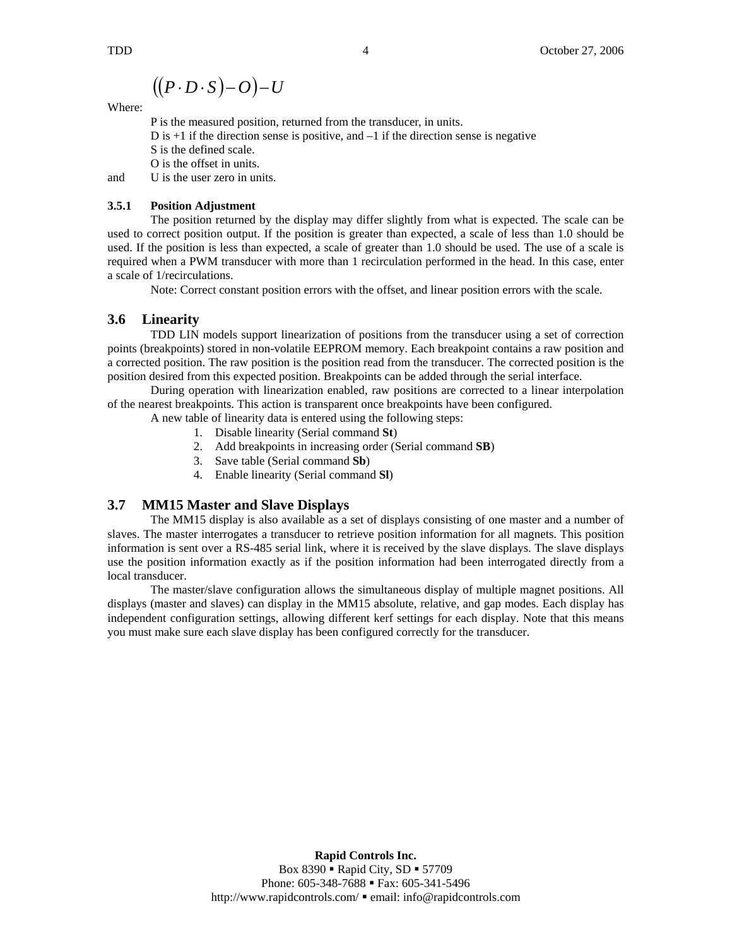$$
((P \cdot D \cdot S) - O) - U
$$

Where:

 P is the measured position, returned from the transducer, in units. D is  $+1$  if the direction sense is positive, and  $-1$  if the direction sense is negative S is the defined scale. O is the offset in units. and U is the user zero in units.

#### **3.5.1 Position Adjustment**

The position returned by the display may differ slightly from what is expected. The scale can be used to correct position output. If the position is greater than expected, a scale of less than 1.0 should be used. If the position is less than expected, a scale of greater than 1.0 should be used. The use of a scale is required when a PWM transducer with more than 1 recirculation performed in the head. In this case, enter a scale of 1/recirculations.

Note: Correct constant position errors with the offset, and linear position errors with the scale.

#### **3.6 Linearity**

 TDD LIN models support linearization of positions from the transducer using a set of correction points (breakpoints) stored in non-volatile EEPROM memory. Each breakpoint contains a raw position and a corrected position. The raw position is the position read from the transducer. The corrected position is the position desired from this expected position. Breakpoints can be added through the serial interface.

 During operation with linearization enabled, raw positions are corrected to a linear interpolation of the nearest breakpoints. This action is transparent once breakpoints have been configured.

A new table of linearity data is entered using the following steps:

- 1. Disable linearity (Serial command **St**)
- 2. Add breakpoints in increasing order (Serial command **SB**)
- 3. Save table (Serial command **Sb**)
- 4. Enable linearity (Serial command **Sl**)

### **3.7 MM15 Master and Slave Displays**

 The MM15 display is also available as a set of displays consisting of one master and a number of slaves. The master interrogates a transducer to retrieve position information for all magnets. This position information is sent over a RS-485 serial link, where it is received by the slave displays. The slave displays use the position information exactly as if the position information had been interrogated directly from a local transducer.

 The master/slave configuration allows the simultaneous display of multiple magnet positions. All displays (master and slaves) can display in the MM15 absolute, relative, and gap modes. Each display has independent configuration settings, allowing different kerf settings for each display. Note that this means you must make sure each slave display has been configured correctly for the transducer.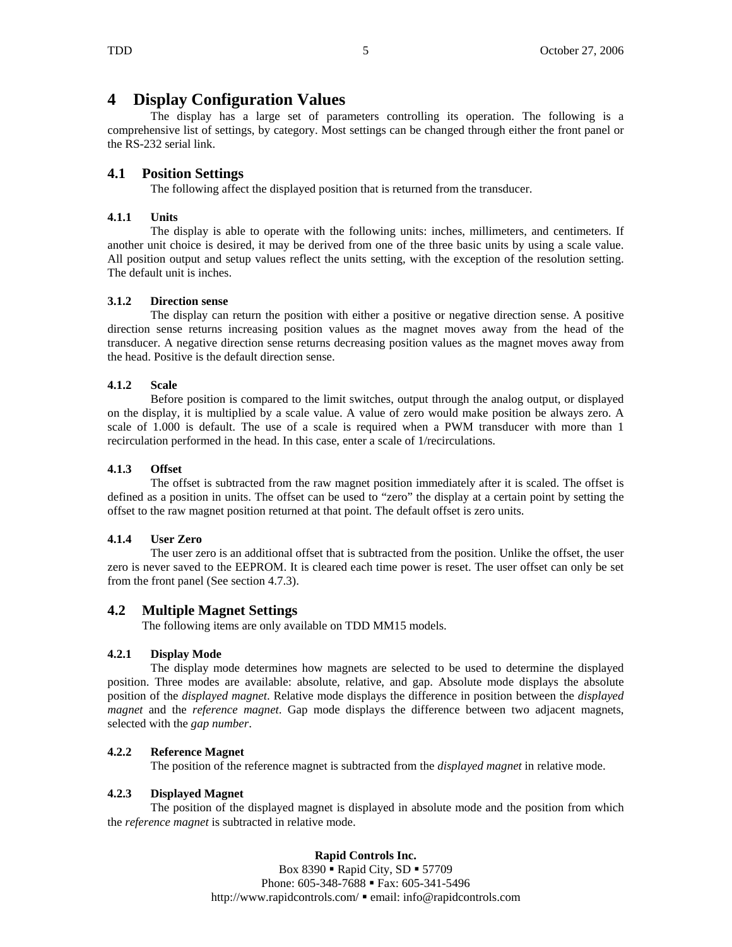## **4 Display Configuration Values**

The display has a large set of parameters controlling its operation. The following is a comprehensive list of settings, by category. Most settings can be changed through either the front panel or the RS-232 serial link.

## **4.1 Position Settings**

The following affect the displayed position that is returned from the transducer.

#### **4.1.1 Units**

The display is able to operate with the following units: inches, millimeters, and centimeters. If another unit choice is desired, it may be derived from one of the three basic units by using a scale value. All position output and setup values reflect the units setting, with the exception of the resolution setting. The default unit is inches.

#### **3.1.2 Direction sense**

The display can return the position with either a positive or negative direction sense. A positive direction sense returns increasing position values as the magnet moves away from the head of the transducer. A negative direction sense returns decreasing position values as the magnet moves away from the head. Positive is the default direction sense.

#### **4.1.2 Scale**

Before position is compared to the limit switches, output through the analog output, or displayed on the display, it is multiplied by a scale value. A value of zero would make position be always zero. A scale of 1.000 is default. The use of a scale is required when a PWM transducer with more than 1 recirculation performed in the head. In this case, enter a scale of 1/recirculations.

#### **4.1.3 Offset**

The offset is subtracted from the raw magnet position immediately after it is scaled. The offset is defined as a position in units. The offset can be used to "zero" the display at a certain point by setting the offset to the raw magnet position returned at that point. The default offset is zero units.

### **4.1.4 User Zero**

The user zero is an additional offset that is subtracted from the position. Unlike the offset, the user zero is never saved to the EEPROM. It is cleared each time power is reset. The user offset can only be set from the front panel (See section 4.7.3).

### **4.2 Multiple Magnet Settings**

The following items are only available on TDD MM15 models.

### **4.2.1 Display Mode**

The display mode determines how magnets are selected to be used to determine the displayed position. Three modes are available: absolute, relative, and gap. Absolute mode displays the absolute position of the *displayed magnet*. Relative mode displays the difference in position between the *displayed magnet* and the *reference magnet*. Gap mode displays the difference between two adjacent magnets, selected with the *gap number*.

### **4.2.2 Reference Magnet**

The position of the reference magnet is subtracted from the *displayed magnet* in relative mode.

#### **4.2.3 Displayed Magnet**

 The position of the displayed magnet is displayed in absolute mode and the position from which the *reference magnet* is subtracted in relative mode.

### **Rapid Controls Inc.**

Box  $8390$   $\blacksquare$  Rapid City, SD  $\blacksquare$  57709 Phone: 605-348-7688 • Fax: 605-341-5496 http://www.rapidcontrols.com/  $\blacksquare$  email: info@rapidcontrols.com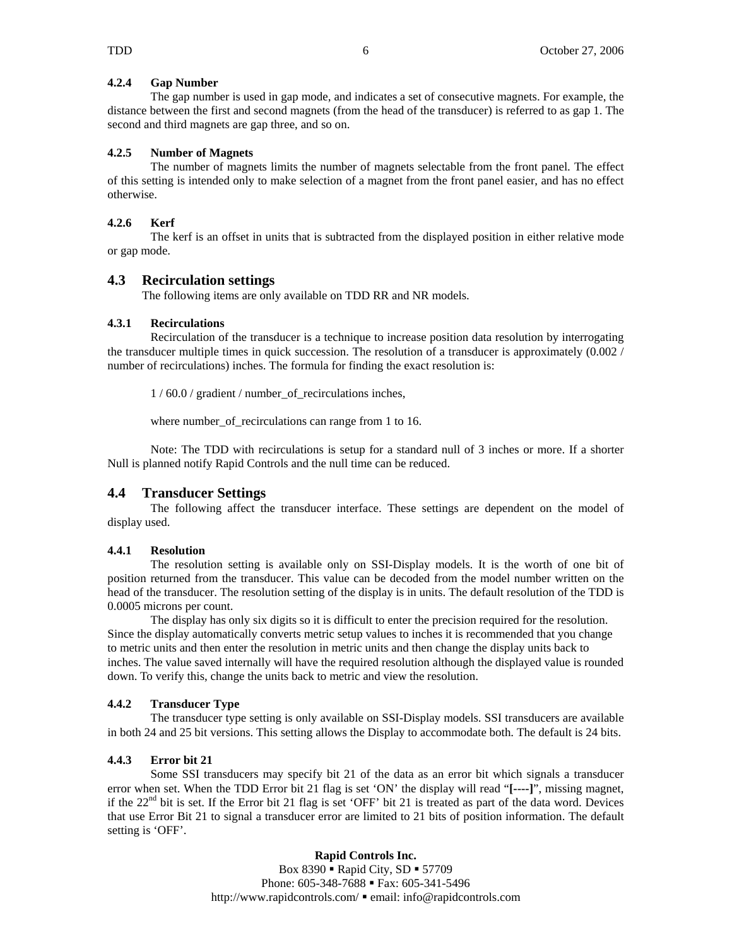#### **4.2.4 Gap Number**

The gap number is used in gap mode, and indicates a set of consecutive magnets. For example, the distance between the first and second magnets (from the head of the transducer) is referred to as gap 1. The second and third magnets are gap three, and so on.

#### **4.2.5 Number of Magnets**

 The number of magnets limits the number of magnets selectable from the front panel. The effect of this setting is intended only to make selection of a magnet from the front panel easier, and has no effect otherwise.

#### **4.2.6 Kerf**

 The kerf is an offset in units that is subtracted from the displayed position in either relative mode or gap mode.

#### **4.3 Recirculation settings**

The following items are only available on TDD RR and NR models.

#### **4.3.1 Recirculations**

Recirculation of the transducer is a technique to increase position data resolution by interrogating the transducer multiple times in quick succession. The resolution of a transducer is approximately (0.002 / number of recirculations) inches. The formula for finding the exact resolution is:

1 / 60.0 / gradient / number\_of\_recirculations inches,

where number\_of\_recirculations can range from 1 to 16.

Note: The TDD with recirculations is setup for a standard null of 3 inches or more. If a shorter Null is planned notify Rapid Controls and the null time can be reduced.

#### **4.4 Transducer Settings**

The following affect the transducer interface. These settings are dependent on the model of display used.

#### **4.4.1 Resolution**

The resolution setting is available only on SSI-Display models. It is the worth of one bit of position returned from the transducer. This value can be decoded from the model number written on the head of the transducer. The resolution setting of the display is in units. The default resolution of the TDD is 0.0005 microns per count.

The display has only six digits so it is difficult to enter the precision required for the resolution. Since the display automatically converts metric setup values to inches it is recommended that you change to metric units and then enter the resolution in metric units and then change the display units back to inches. The value saved internally will have the required resolution although the displayed value is rounded down. To verify this, change the units back to metric and view the resolution.

#### **4.4.2 Transducer Type**

The transducer type setting is only available on SSI-Display models. SSI transducers are available in both 24 and 25 bit versions. This setting allows the Display to accommodate both. The default is 24 bits.

#### **4.4.3 Error bit 21**

Some SSI transducers may specify bit 21 of the data as an error bit which signals a transducer error when set. When the TDD Error bit 21 flag is set 'ON' the display will read "**[----]**", missing magnet, if the  $22<sup>nd</sup>$  bit is set. If the Error bit 21 flag is set 'OFF' bit 21 is treated as part of the data word. Devices that use Error Bit 21 to signal a transducer error are limited to 21 bits of position information. The default setting is 'OFF'.

> **Rapid Controls Inc.**  Box 8390 **·** Rapid City, SD **·** 57709 Phone: 605-348-7688 • Fax: 605-341-5496 http://www.rapidcontrols.com/ email: info@rapidcontrols.com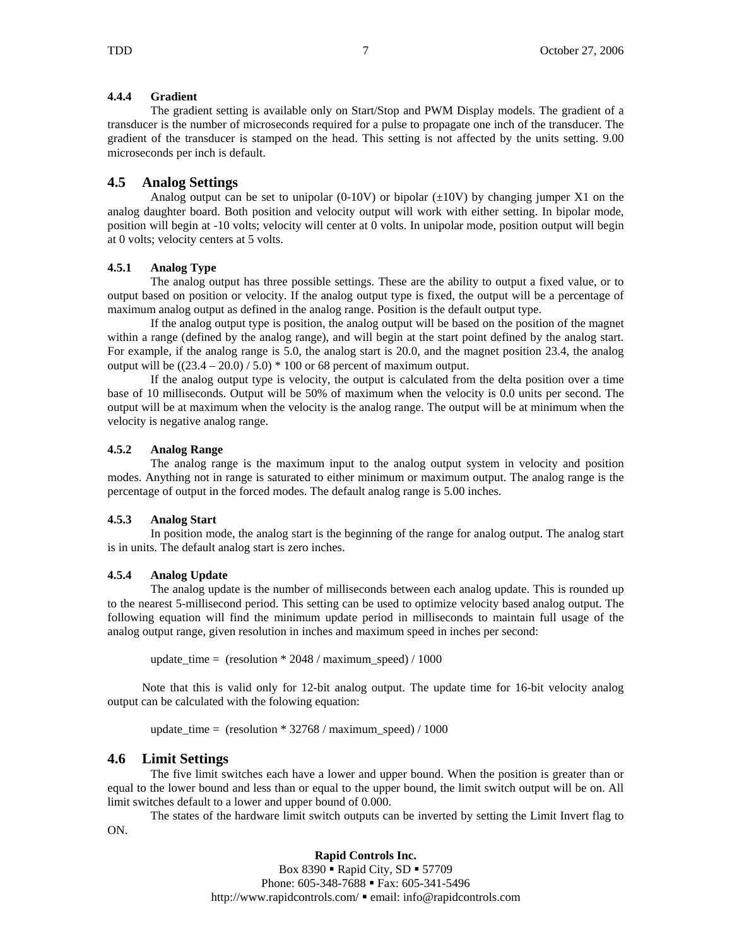#### **4.4.4 Gradient**

The gradient setting is available only on Start/Stop and PWM Display models. The gradient of a transducer is the number of microseconds required for a pulse to propagate one inch of the transducer. The gradient of the transducer is stamped on the head. This setting is not affected by the units setting. 9.00 microseconds per inch is default.

#### **4.5 Analog Settings**

Analog output can be set to unipolar (0-10V) or bipolar  $(\pm 10V)$  by changing jumper X1 on the analog daughter board. Both position and velocity output will work with either setting. In bipolar mode, position will begin at -10 volts; velocity will center at 0 volts. In unipolar mode, position output will begin at 0 volts; velocity centers at 5 volts.

#### **4.5.1 Analog Type**

The analog output has three possible settings. These are the ability to output a fixed value, or to output based on position or velocity. If the analog output type is fixed, the output will be a percentage of maximum analog output as defined in the analog range. Position is the default output type.

If the analog output type is position, the analog output will be based on the position of the magnet within a range (defined by the analog range), and will begin at the start point defined by the analog start. For example, if the analog range is 5.0, the analog start is 20.0, and the magnet position 23.4, the analog output will be  $((23.4 – 20.0) / 5.0) * 100$  or 68 percent of maximum output.

If the analog output type is velocity, the output is calculated from the delta position over a time base of 10 milliseconds. Output will be 50% of maximum when the velocity is 0.0 units per second. The output will be at maximum when the velocity is the analog range. The output will be at minimum when the velocity is negative analog range.

#### **4.5.2 Analog Range**

The analog range is the maximum input to the analog output system in velocity and position modes. Anything not in range is saturated to either minimum or maximum output. The analog range is the percentage of output in the forced modes. The default analog range is 5.00 inches.

#### **4.5.3 Analog Start**

In position mode, the analog start is the beginning of the range for analog output. The analog start is in units. The default analog start is zero inches.

#### **4.5.4 Analog Update**

The analog update is the number of milliseconds between each analog update. This is rounded up to the nearest 5-millisecond period. This setting can be used to optimize velocity based analog output. The following equation will find the minimum update period in milliseconds to maintain full usage of the analog output range, given resolution in inches and maximum speed in inches per second:

update\_time =  $(resolution * 2048 / maximum_speed) / 1000$ 

Note that this is valid only for 12-bit analog output. The update time for 16-bit velocity analog output can be calculated with the folowing equation:

update\_time = (resolution \* 32768 / maximum\_speed) / 1000

#### **4.6 Limit Settings**

The five limit switches each have a lower and upper bound. When the position is greater than or equal to the lower bound and less than or equal to the upper bound, the limit switch output will be on. All limit switches default to a lower and upper bound of 0.000.

The states of the hardware limit switch outputs can be inverted by setting the Limit Invert flag to ON.

#### **Rapid Controls Inc.**

Box  $8390$   $\blacksquare$  Rapid City, SD  $\blacksquare$  57709 Phone: 605-348-7688 • Fax: 605-341-5496 http://www.rapidcontrols.com/  $\bullet$  email: info@rapidcontrols.com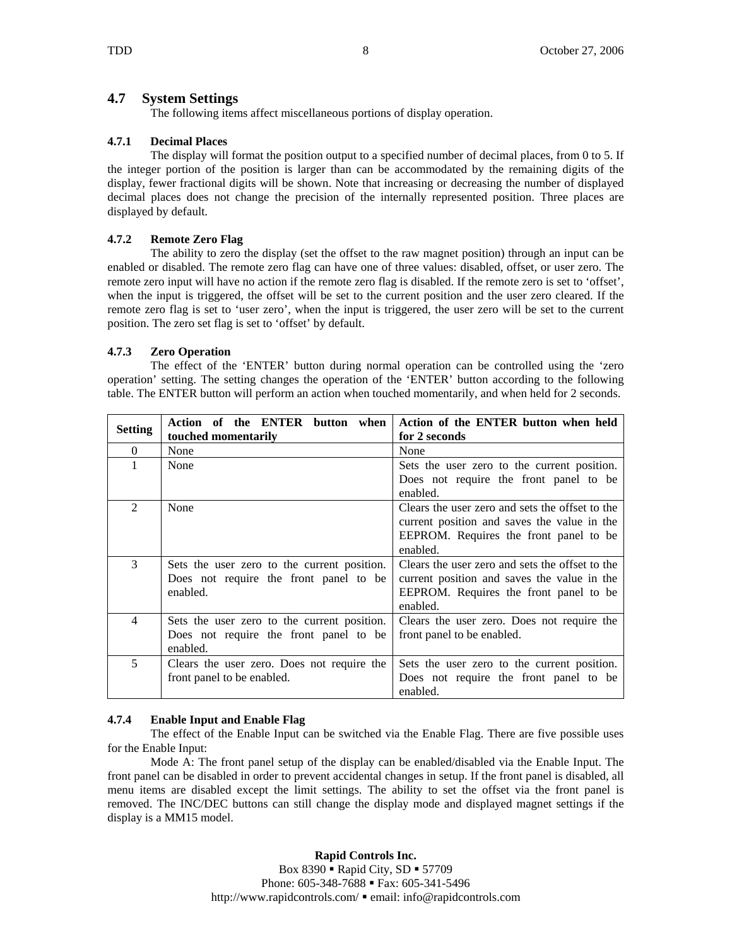### **4.7 System Settings**

The following items affect miscellaneous portions of display operation.

### **4.7.1 Decimal Places**

The display will format the position output to a specified number of decimal places, from 0 to 5. If the integer portion of the position is larger than can be accommodated by the remaining digits of the display, fewer fractional digits will be shown. Note that increasing or decreasing the number of displayed decimal places does not change the precision of the internally represented position. Three places are displayed by default.

#### **4.7.2 Remote Zero Flag**

The ability to zero the display (set the offset to the raw magnet position) through an input can be enabled or disabled. The remote zero flag can have one of three values: disabled, offset, or user zero. The remote zero input will have no action if the remote zero flag is disabled. If the remote zero is set to 'offset', when the input is triggered, the offset will be set to the current position and the user zero cleared. If the remote zero flag is set to 'user zero', when the input is triggered, the user zero will be set to the current position. The zero set flag is set to 'offset' by default.

### **4.7.3 Zero Operation**

The effect of the 'ENTER' button during normal operation can be controlled using the 'zero operation' setting. The setting changes the operation of the 'ENTER' button according to the following table. The ENTER button will perform an action when touched momentarily, and when held for 2 seconds.

| Setting                     | Action of the ENTER button when             | Action of the ENTER button when held            |
|-----------------------------|---------------------------------------------|-------------------------------------------------|
|                             | touched momentarily                         | for 2 seconds                                   |
| $\Omega$                    | None                                        | None                                            |
|                             | None                                        | Sets the user zero to the current position.     |
|                             |                                             | Does not require the front panel to be          |
|                             |                                             | enabled.                                        |
| $\mathcal{D}_{\mathcal{L}}$ | None                                        | Clears the user zero and sets the offset to the |
|                             |                                             | current position and saves the value in the     |
|                             |                                             | EEPROM. Requires the front panel to be          |
|                             |                                             | enabled.                                        |
| 3                           | Sets the user zero to the current position. | Clears the user zero and sets the offset to the |
|                             | Does not require the front panel to be      | current position and saves the value in the     |
|                             | enabled.                                    | EEPROM. Requires the front panel to be          |
|                             |                                             | enabled.                                        |
| 4                           | Sets the user zero to the current position. | Clears the user zero. Does not require the      |
|                             | Does not require the front panel to be      | front panel to be enabled.                      |
|                             | enabled.                                    |                                                 |
| 5                           | Clears the user zero. Does not require the  | Sets the user zero to the current position.     |
|                             | front panel to be enabled.                  | Does not require the front panel to be          |
|                             |                                             | enabled.                                        |

### **4.7.4 Enable Input and Enable Flag**

The effect of the Enable Input can be switched via the Enable Flag. There are five possible uses for the Enable Input:

Mode A: The front panel setup of the display can be enabled/disabled via the Enable Input. The front panel can be disabled in order to prevent accidental changes in setup. If the front panel is disabled, all menu items are disabled except the limit settings. The ability to set the offset via the front panel is removed. The INC/DEC buttons can still change the display mode and displayed magnet settings if the display is a MM15 model.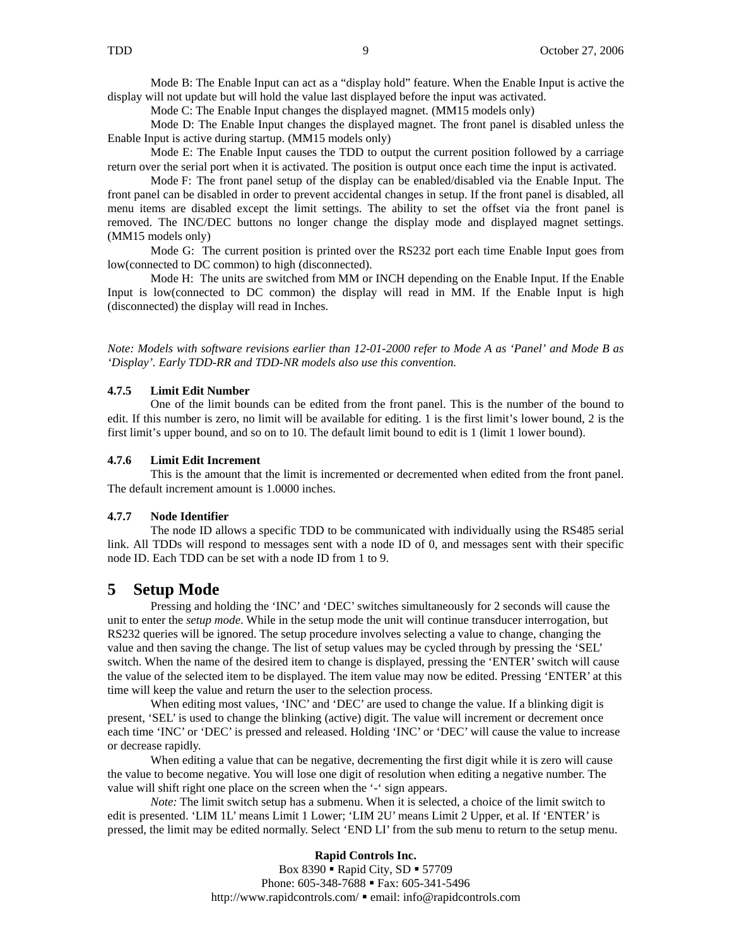Mode B: The Enable Input can act as a "display hold" feature. When the Enable Input is active the display will not update but will hold the value last displayed before the input was activated.

Mode C: The Enable Input changes the displayed magnet. (MM15 models only)

Mode D: The Enable Input changes the displayed magnet. The front panel is disabled unless the Enable Input is active during startup. (MM15 models only)

Mode E: The Enable Input causes the TDD to output the current position followed by a carriage return over the serial port when it is activated. The position is output once each time the input is activated.

 Mode F: The front panel setup of the display can be enabled/disabled via the Enable Input. The front panel can be disabled in order to prevent accidental changes in setup. If the front panel is disabled, all menu items are disabled except the limit settings. The ability to set the offset via the front panel is removed. The INC/DEC buttons no longer change the display mode and displayed magnet settings. (MM15 models only)

 Mode G: The current position is printed over the RS232 port each time Enable Input goes from low(connected to DC common) to high (disconnected).

 Mode H: The units are switched from MM or INCH depending on the Enable Input. If the Enable Input is low(connected to DC common) the display will read in MM. If the Enable Input is high (disconnected) the display will read in Inches.

*Note: Models with software revisions earlier than 12-01-2000 refer to Mode A as 'Panel' and Mode B as 'Display'. Early TDD-RR and TDD-NR models also use this convention.* 

#### **4.7.5 Limit Edit Number**

One of the limit bounds can be edited from the front panel. This is the number of the bound to edit. If this number is zero, no limit will be available for editing. 1 is the first limit's lower bound, 2 is the first limit's upper bound, and so on to 10. The default limit bound to edit is 1 (limit 1 lower bound).

#### **4.7.6 Limit Edit Increment**

This is the amount that the limit is incremented or decremented when edited from the front panel. The default increment amount is 1.0000 inches.

#### **4.7.7 Node Identifier**

The node ID allows a specific TDD to be communicated with individually using the RS485 serial link. All TDDs will respond to messages sent with a node ID of 0, and messages sent with their specific node ID. Each TDD can be set with a node ID from 1 to 9.

#### **5 Setup Mode**

Pressing and holding the 'INC' and 'DEC' switches simultaneously for 2 seconds will cause the unit to enter the *setup mode*. While in the setup mode the unit will continue transducer interrogation, but RS232 queries will be ignored. The setup procedure involves selecting a value to change, changing the value and then saving the change. The list of setup values may be cycled through by pressing the 'SEL' switch. When the name of the desired item to change is displayed, pressing the 'ENTER' switch will cause the value of the selected item to be displayed. The item value may now be edited. Pressing 'ENTER' at this time will keep the value and return the user to the selection process.

When editing most values, 'INC' and 'DEC' are used to change the value. If a blinking digit is present, 'SEL' is used to change the blinking (active) digit. The value will increment or decrement once each time 'INC' or 'DEC' is pressed and released. Holding 'INC' or 'DEC' will cause the value to increase or decrease rapidly.

When editing a value that can be negative, decrementing the first digit while it is zero will cause the value to become negative. You will lose one digit of resolution when editing a negative number. The value will shift right one place on the screen when the '-' sign appears.

*Note:* The limit switch setup has a submenu. When it is selected, a choice of the limit switch to edit is presented. 'LIM 1L' means Limit 1 Lower; 'LIM 2U' means Limit 2 Upper, et al. If 'ENTER' is pressed, the limit may be edited normally. Select 'END LI' from the sub menu to return to the setup menu.

> **Rapid Controls Inc.**  Box  $8390$   $\blacksquare$  Rapid City, SD  $\blacksquare$  57709 Phone: 605-348-7688 • Fax: 605-341-5496 http://www.rapidcontrols.com/ email: info@rapidcontrols.com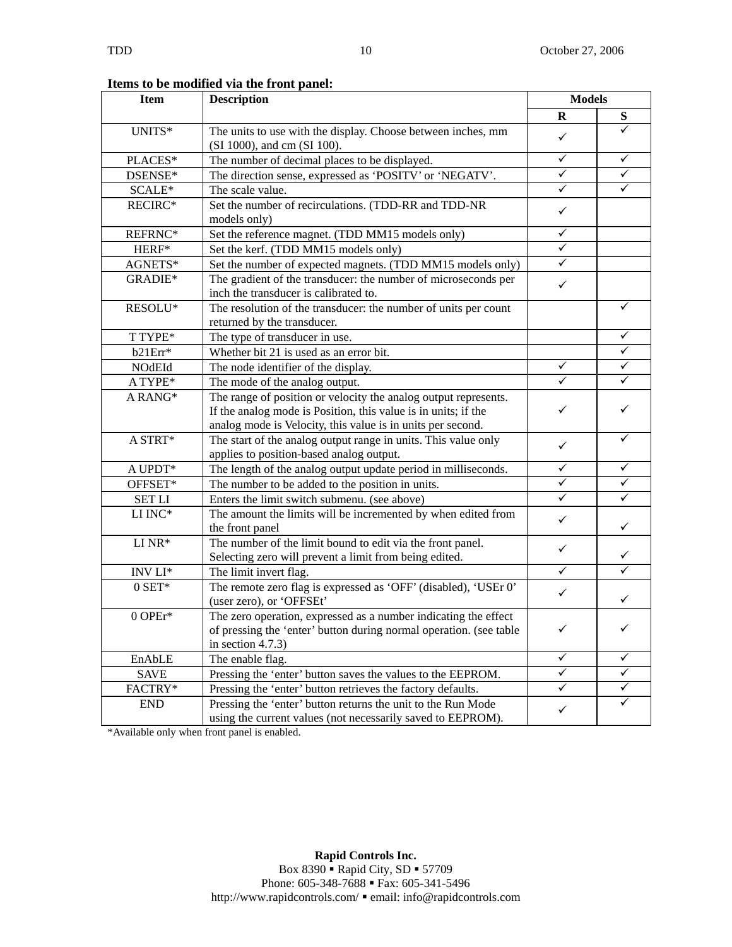**Items to be modified via the front panel:** 

| <b>Item</b>                                                                                                                               | <b>Description</b>                                                                                                                                                                               | <b>Models</b> |              |
|-------------------------------------------------------------------------------------------------------------------------------------------|--------------------------------------------------------------------------------------------------------------------------------------------------------------------------------------------------|---------------|--------------|
|                                                                                                                                           |                                                                                                                                                                                                  | $\mathbf R$   | S            |
| UNITS*                                                                                                                                    | The units to use with the display. Choose between inches, mm<br>(SI 1000), and cm (SI 100).                                                                                                      | $\checkmark$  |              |
| PLACES*                                                                                                                                   | The number of decimal places to be displayed.                                                                                                                                                    | $\checkmark$  | ✓            |
| DSENSE*                                                                                                                                   | The direction sense, expressed as 'POSITV' or 'NEGATV'.                                                                                                                                          | $\checkmark$  | ✓            |
| SCALE*                                                                                                                                    | The scale value.                                                                                                                                                                                 | $\checkmark$  | ✓            |
| RECIRC*                                                                                                                                   | Set the number of recirculations. (TDD-RR and TDD-NR<br>models only)                                                                                                                             | $\checkmark$  |              |
| REFRNC*                                                                                                                                   | Set the reference magnet. (TDD MM15 models only)                                                                                                                                                 | $\checkmark$  |              |
| HERF*                                                                                                                                     | Set the kerf. (TDD MM15 models only)                                                                                                                                                             | $\checkmark$  |              |
| AGNETS*                                                                                                                                   | Set the number of expected magnets. (TDD MM15 models only)                                                                                                                                       | $\checkmark$  |              |
| GRADIE*                                                                                                                                   | The gradient of the transducer: the number of microseconds per<br>inch the transducer is calibrated to.                                                                                          | $\checkmark$  |              |
| RESOLU*                                                                                                                                   | The resolution of the transducer: the number of units per count<br>returned by the transducer.                                                                                                   |               | ✓            |
| T TYPE*                                                                                                                                   | The type of transducer in use.                                                                                                                                                                   |               |              |
| b21Err*                                                                                                                                   | Whether bit 21 is used as an error bit.                                                                                                                                                          |               | ✓            |
| NOdEId                                                                                                                                    | The node identifier of the display.                                                                                                                                                              | $\checkmark$  | ✓            |
| A TYPE*                                                                                                                                   | The mode of the analog output.                                                                                                                                                                   | $\checkmark$  | ✓            |
| A RANG*                                                                                                                                   | The range of position or velocity the analog output represents.<br>If the analog mode is Position, this value is in units; if the<br>analog mode is Velocity, this value is in units per second. | $\checkmark$  | ✓            |
| A STRT*                                                                                                                                   | The start of the analog output range in units. This value only<br>applies to position-based analog output.                                                                                       | ✓             | ✓            |
| $\mathbf A$ UPDT*                                                                                                                         | The length of the analog output update period in milliseconds.                                                                                                                                   | $\checkmark$  | ✓            |
| OFFSET*                                                                                                                                   | The number to be added to the position in units.                                                                                                                                                 | $\checkmark$  | $\checkmark$ |
| <b>SET LI</b>                                                                                                                             | Enters the limit switch submenu. (see above)                                                                                                                                                     | $\checkmark$  | ✓            |
| $\rm LI$ $\rm INC^{*}$                                                                                                                    | The amount the limits will be incremented by when edited from<br>the front panel                                                                                                                 | $\checkmark$  | ✓            |
| $\rm LI~NR*$                                                                                                                              | The number of the limit bound to edit via the front panel.<br>Selecting zero will prevent a limit from being edited.                                                                             | $\checkmark$  | ✓            |
| $\ensuremath{\text{INV}}$<br>$\ensuremath{\text{LI}}^*$                                                                                   | The limit invert flag.                                                                                                                                                                           | $\checkmark$  |              |
| $0$ SET*                                                                                                                                  | The remote zero flag is expressed as 'OFF' (disabled), 'USEr 0'<br>(user zero), or 'OFFSEt'                                                                                                      | $\checkmark$  | ✓            |
| 0 OPEr*                                                                                                                                   | The zero operation, expressed as a number indicating the effect<br>of pressing the 'enter' button during normal operation. (see table<br>in section $4.7.3$ )                                    |               |              |
| EnAbLE                                                                                                                                    | The enable flag.                                                                                                                                                                                 | $\checkmark$  | ✓            |
| <b>SAVE</b>                                                                                                                               | Pressing the 'enter' button saves the values to the EEPROM.                                                                                                                                      | $\checkmark$  | ✓            |
| FACTRY*                                                                                                                                   | Pressing the 'enter' button retrieves the factory defaults.                                                                                                                                      | ✓             | ✓            |
| Pressing the 'enter' button returns the unit to the Run Mode<br><b>END</b><br>using the current values (not necessarily saved to EEPROM). |                                                                                                                                                                                                  | $\checkmark$  | ✓            |

\*Available only when front panel is enabled.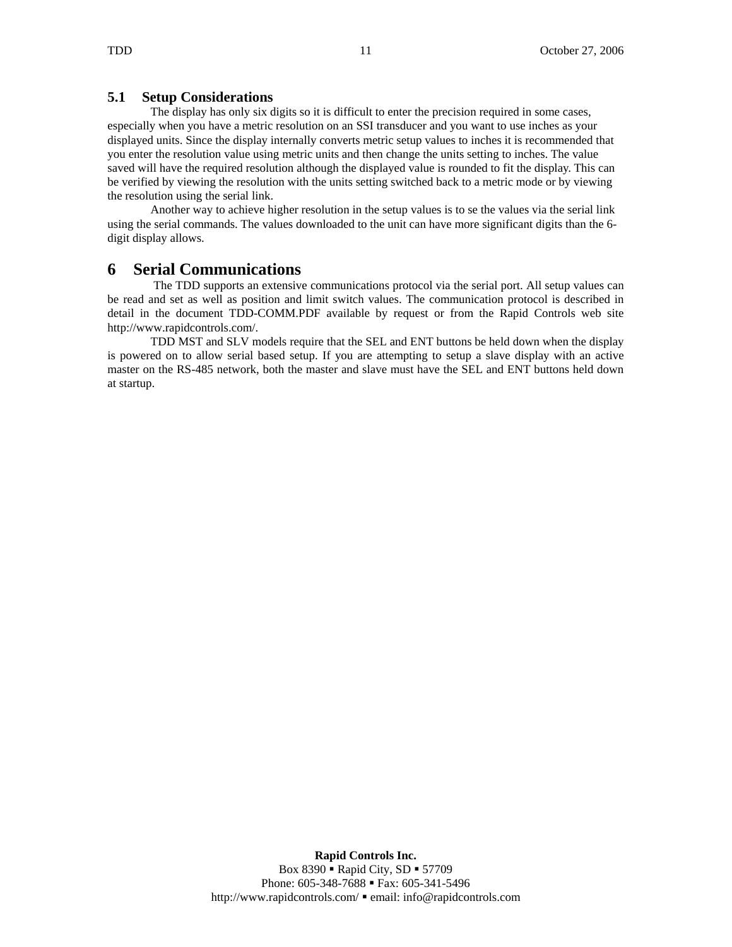## **5.1 Setup Considerations**

The display has only six digits so it is difficult to enter the precision required in some cases, especially when you have a metric resolution on an SSI transducer and you want to use inches as your displayed units. Since the display internally converts metric setup values to inches it is recommended that you enter the resolution value using metric units and then change the units setting to inches. The value saved will have the required resolution although the displayed value is rounded to fit the display. This can be verified by viewing the resolution with the units setting switched back to a metric mode or by viewing the resolution using the serial link.

 Another way to achieve higher resolution in the setup values is to se the values via the serial link using the serial commands. The values downloaded to the unit can have more significant digits than the 6 digit display allows.

## **6 Serial Communications**

 The TDD supports an extensive communications protocol via the serial port. All setup values can be read and set as well as position and limit switch values. The communication protocol is described in detail in the document TDD-COMM.PDF available by request or from the Rapid Controls web site http://www.rapidcontrols.com/.

TDD MST and SLV models require that the SEL and ENT buttons be held down when the display is powered on to allow serial based setup. If you are attempting to setup a slave display with an active master on the RS-485 network, both the master and slave must have the SEL and ENT buttons held down at startup.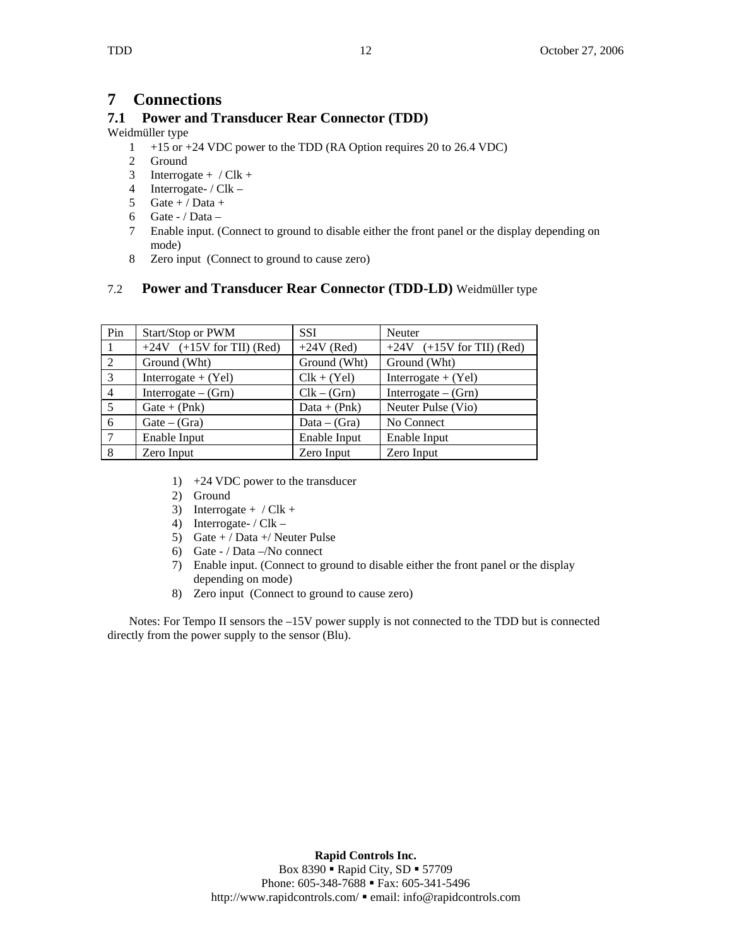## **7 Connections**

## **7.1 Power and Transducer Rear Connector (TDD)**

#### Weidmüller type

- 1 +15 or +24 VDC power to the TDD (RA Option requires 20 to 26.4 VDC)
- 2 Ground
- 3 Interrogate +  $/Clk$  +
- 4 Interrogate- / Clk –
- 5 Gate + / Data +
- 6 Gate / Data -
- 7 Enable input. (Connect to ground to disable either the front panel or the display depending on mode)
- 8 Zero input (Connect to ground to cause zero)

## 7.2 **Power and Transducer Rear Connector (TDD-LD)** Weidmüller type

| Pin            | Start/Stop or PWM           | <b>SSI</b>     | Neuter                      |
|----------------|-----------------------------|----------------|-----------------------------|
|                | $+24V$ (+15V for TII) (Red) | $+24V$ (Red)   | $+24V$ (+15V for TII) (Red) |
| 2              | Ground (Wht)                | Ground (Wht)   | Ground (Wht)                |
| $\overline{3}$ | Interrogate $+$ (Yel)       | $Clk + (Yel)$  | Interrogate $+$ (Yel)       |
| $\overline{4}$ | Interrogate $-$ (Grn)       | $Clk - (Grn)$  | Interrogate $-$ (Grn)       |
| $5^{\circ}$    | $Gate + (Phk)$              | $Data + (Phk)$ | Neuter Pulse (Vio)          |
| -6             | $Gate - (Gra)$              | $Data - (Gra)$ | No Connect                  |
| $\mathcal{I}$  | Enable Input                | Enable Input   | Enable Input                |
| 8              | Zero Input                  | Zero Input     | Zero Input                  |

- 1) +24 VDC power to the transducer
- 2) Ground
- 3) Interrogate +  $/Clk$  +
- 4) Interrogate- / Clk –
- 5) Gate + / Data + / Neuter Pulse
- 6) Gate / Data –/No connect
- 7) Enable input. (Connect to ground to disable either the front panel or the display depending on mode)
- 8) Zero input (Connect to ground to cause zero)

Notes: For Tempo II sensors the  $-15V$  power supply is not connected to the TDD but is connected directly from the power supply to the sensor (Blu).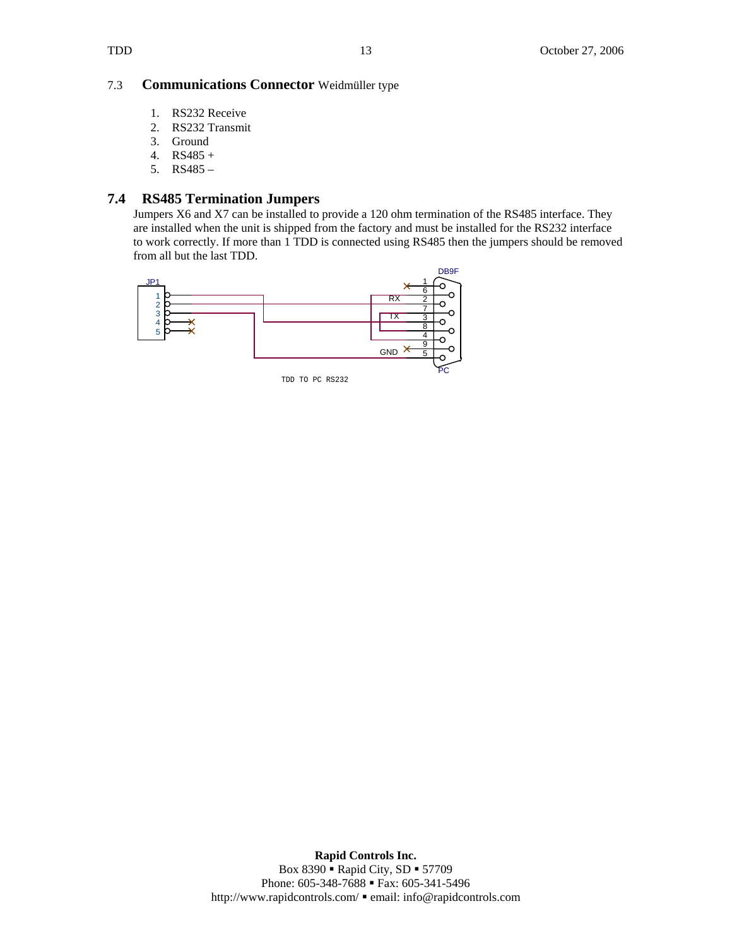#### 7.3 **Communications Connector** Weidmüller type

- 1. RS232 Receive
- 2. RS232 Transmit
- 3. Ground
- 4. RS485 +
- 5. RS485 –

## **7.4 RS485 Termination Jumpers**

Jumpers X6 and X7 can be installed to provide a 120 ohm termination of the RS485 interface. They are installed when the unit is shipped from the factory and must be installed for the RS232 interface to work correctly. If more than 1 TDD is connected using RS485 then the jumpers should be removed from all but the last TDD.

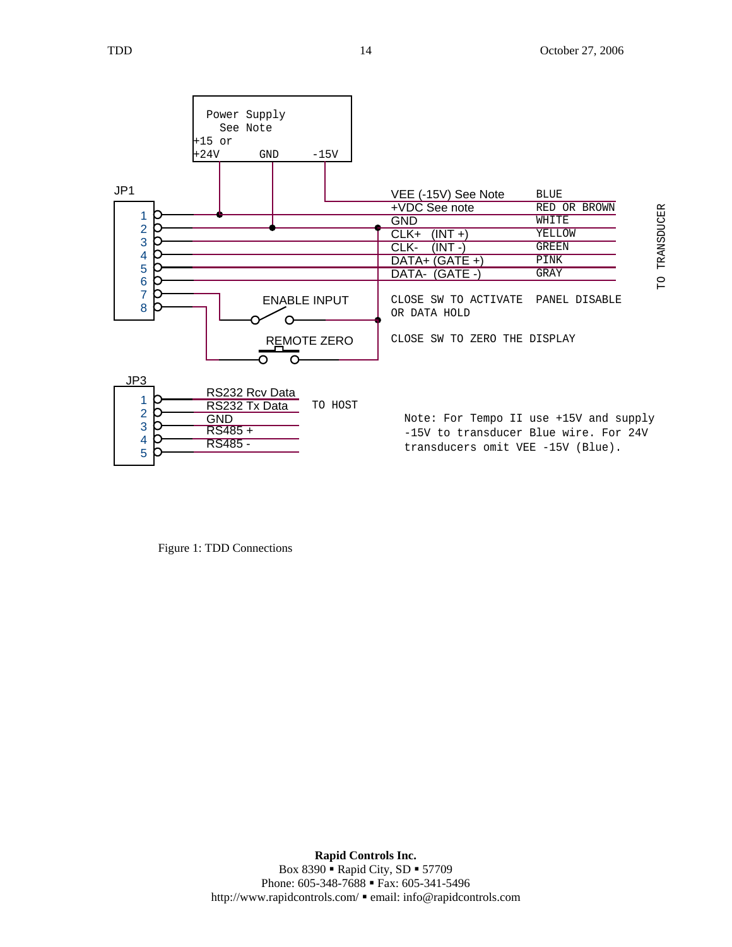

Figure 1: TDD Connections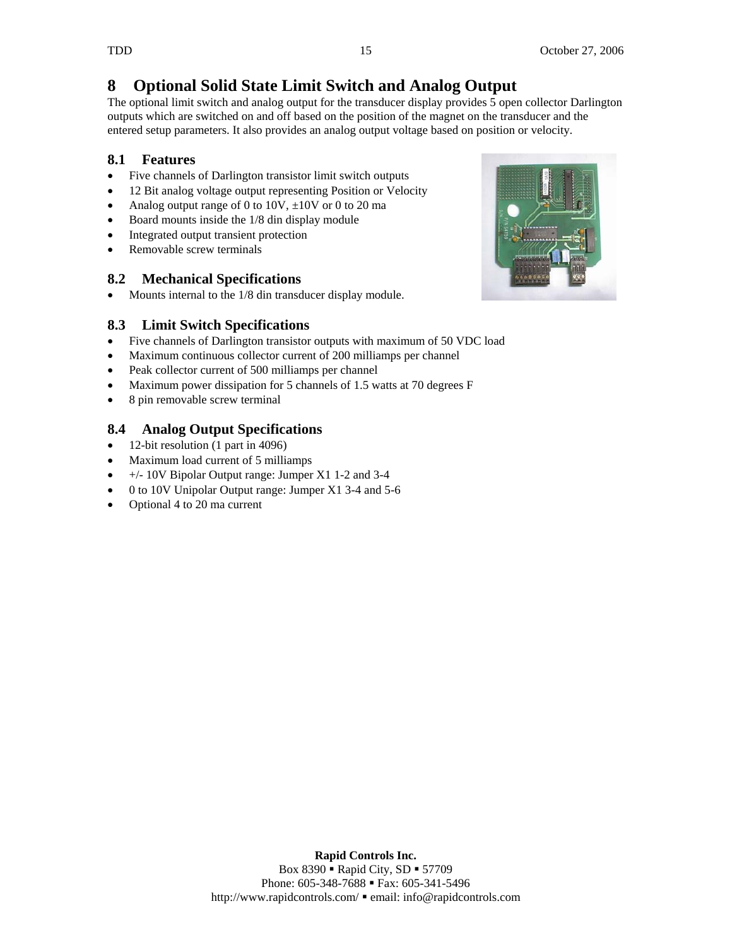# **8 Optional Solid State Limit Switch and Analog Output**

The optional limit switch and analog output for the transducer display provides 5 open collector Darlington outputs which are switched on and off based on the position of the magnet on the transducer and the entered setup parameters. It also provides an analog output voltage based on position or velocity.

## **8.1 Features**

- Five channels of Darlington transistor limit switch outputs
- 12 Bit analog voltage output representing Position or Velocity
- Analog output range of 0 to 10V,  $\pm$ 10V or 0 to 20 ma
- Board mounts inside the 1/8 din display module
- Integrated output transient protection
- Removable screw terminals

## **8.2 Mechanical Specifications**

• Mounts internal to the 1/8 din transducer display module.

## **8.3 Limit Switch Specifications**

- Five channels of Darlington transistor outputs with maximum of 50 VDC load
- Maximum continuous collector current of 200 milliamps per channel
- Peak collector current of 500 milliamps per channel
- Maximum power dissipation for 5 channels of 1.5 watts at 70 degrees F
- 8 pin removable screw terminal

## **8.4 Analog Output Specifications**

- 12-bit resolution (1 part in 4096)
- Maximum load current of 5 milliamps
- $\bullet$  +/- 10V Bipolar Output range: Jumper X1 1-2 and 3-4
- 0 to 10V Unipolar Output range: Jumper X1 3-4 and 5-6
- Optional 4 to 20 ma current



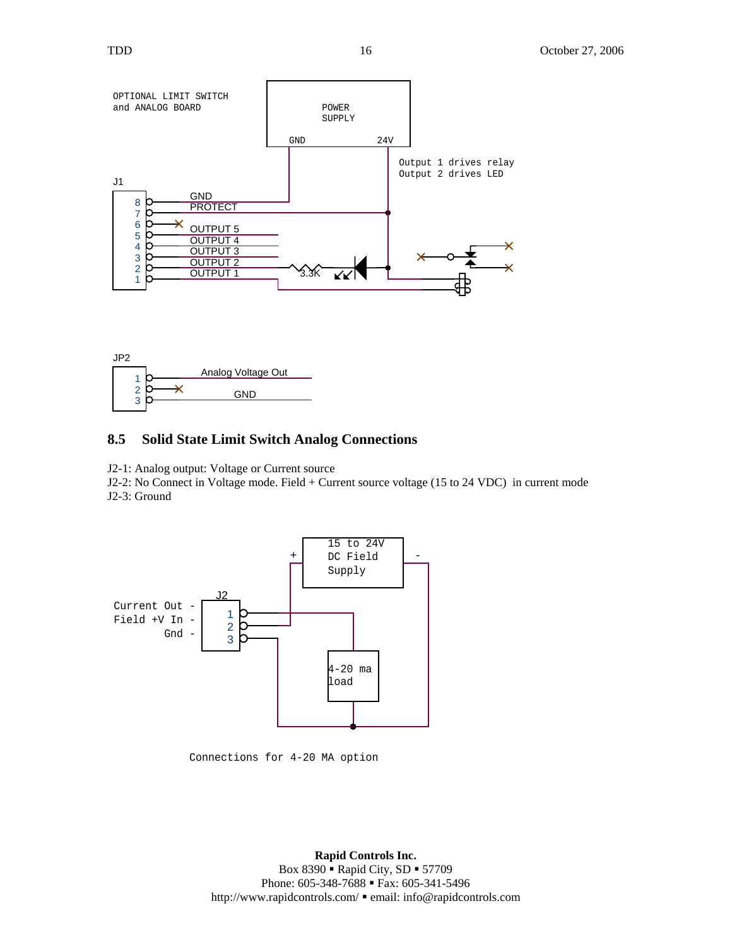



#### **8.5 Solid State Limit Switch Analog Connections**

J2-1: Analog output: Voltage or Current source

J2-2: No Connect in Voltage mode. Field + Current source voltage (15 to 24 VDC) in current mode J2-3: Ground



Connections for 4-20 MA option

 **Rapid Controls Inc.**  Box 8390 • Rapid City, SD • 57709 Phone: 605-348-7688 • Fax: 605-341-5496 http://www.rapidcontrols.com/ email: info@rapidcontrols.com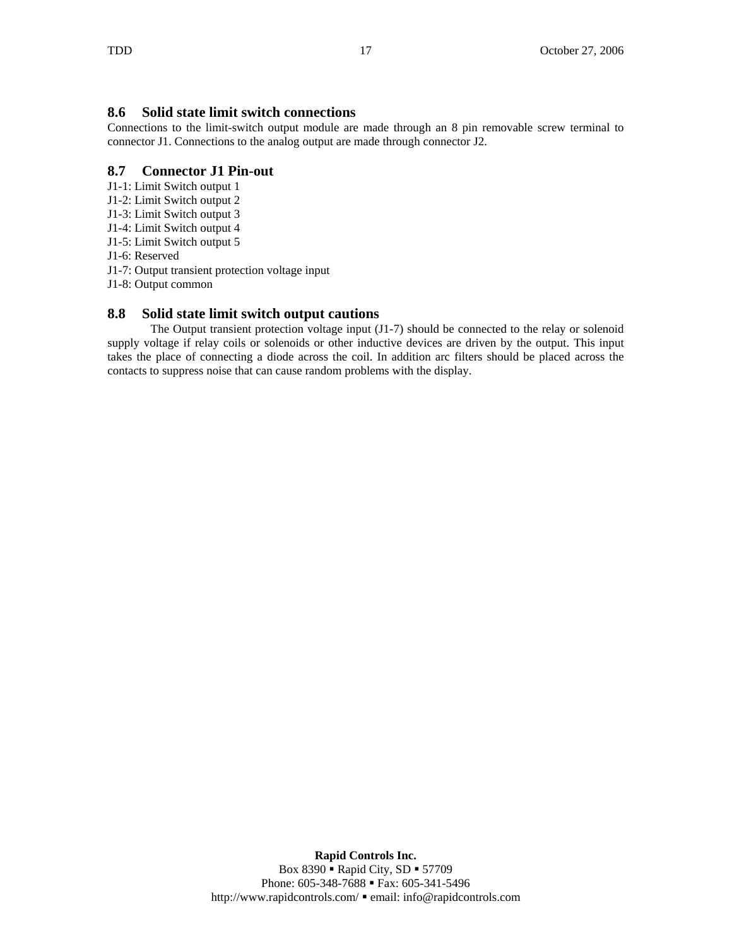## **8.6 Solid state limit switch connections**

Connections to the limit-switch output module are made through an 8 pin removable screw terminal to connector J1. Connections to the analog output are made through connector J2.

## **8.7 Connector J1 Pin-out**

- J1-1: Limit Switch output 1
- J1-2: Limit Switch output 2
- J1-3: Limit Switch output 3
- J1-4: Limit Switch output 4
- J1-5: Limit Switch output 5
- J1-6: Reserved
- J1-7: Output transient protection voltage input
- J1-8: Output common

## **8.8 Solid state limit switch output cautions**

The Output transient protection voltage input (J1-7) should be connected to the relay or solenoid supply voltage if relay coils or solenoids or other inductive devices are driven by the output. This input takes the place of connecting a diode across the coil. In addition arc filters should be placed across the contacts to suppress noise that can cause random problems with the display.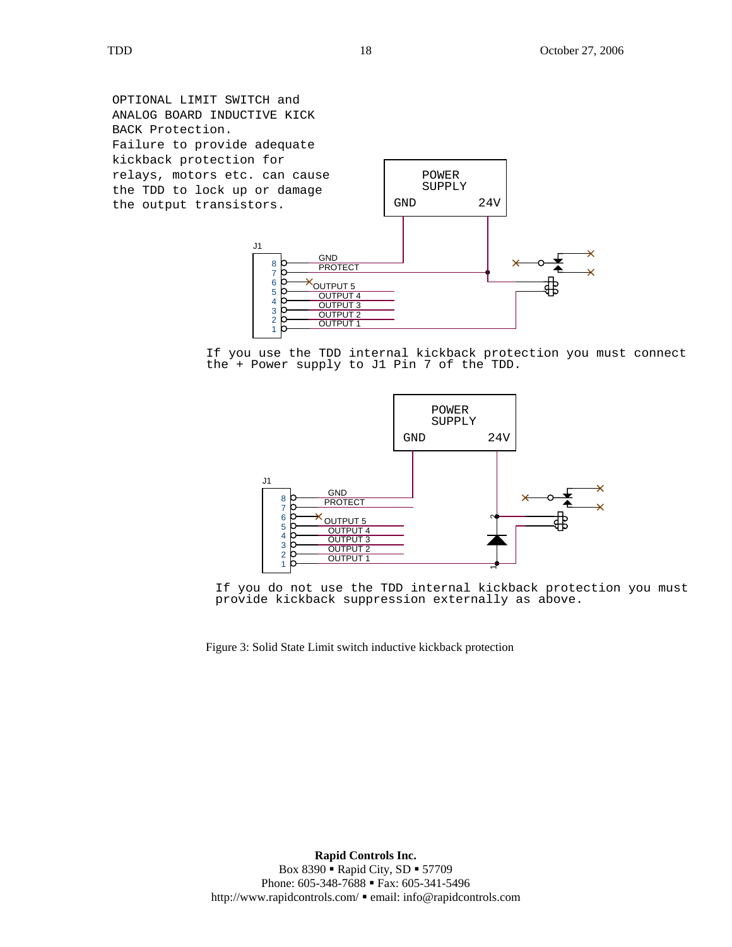OPTIONAL LIMIT SWITCH and ANALOG BOARD INDUCTIVE KICK BACK Protection. Failure to provide adequate kickback protection for relays, motors etc. can cause the TDD to lock up or damage the output transistors.



If you use the TDD internal kickback protection you must connect the + Power supply to J1 Pin 7 of the TDD.



If you do not use the TDD internal kickback protection you must provide kickback suppression externally as above.

Figure 3: Solid State Limit switch inductive kickback protection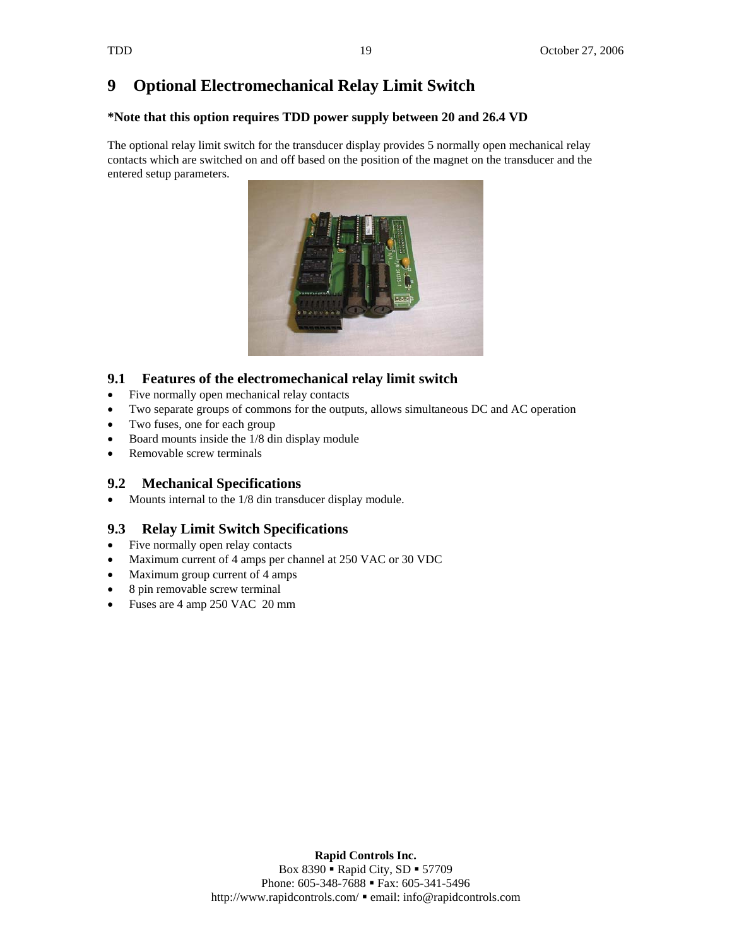# **9 Optional Electromechanical Relay Limit Switch**

### **\*Note that this option requires TDD power supply between 20 and 26.4 VD**

The optional relay limit switch for the transducer display provides 5 normally open mechanical relay contacts which are switched on and off based on the position of the magnet on the transducer and the entered setup parameters.



## **9.1 Features of the electromechanical relay limit switch**

- Five normally open mechanical relay contacts
- Two separate groups of commons for the outputs, allows simultaneous DC and AC operation
- Two fuses, one for each group
- Board mounts inside the 1/8 din display module
- Removable screw terminals

## **9.2 Mechanical Specifications**

• Mounts internal to the 1/8 din transducer display module.

## **9.3 Relay Limit Switch Specifications**

- Five normally open relay contacts
- Maximum current of 4 amps per channel at 250 VAC or 30 VDC
- Maximum group current of 4 amps
- 8 pin removable screw terminal
- Fuses are 4 amp 250 VAC 20 mm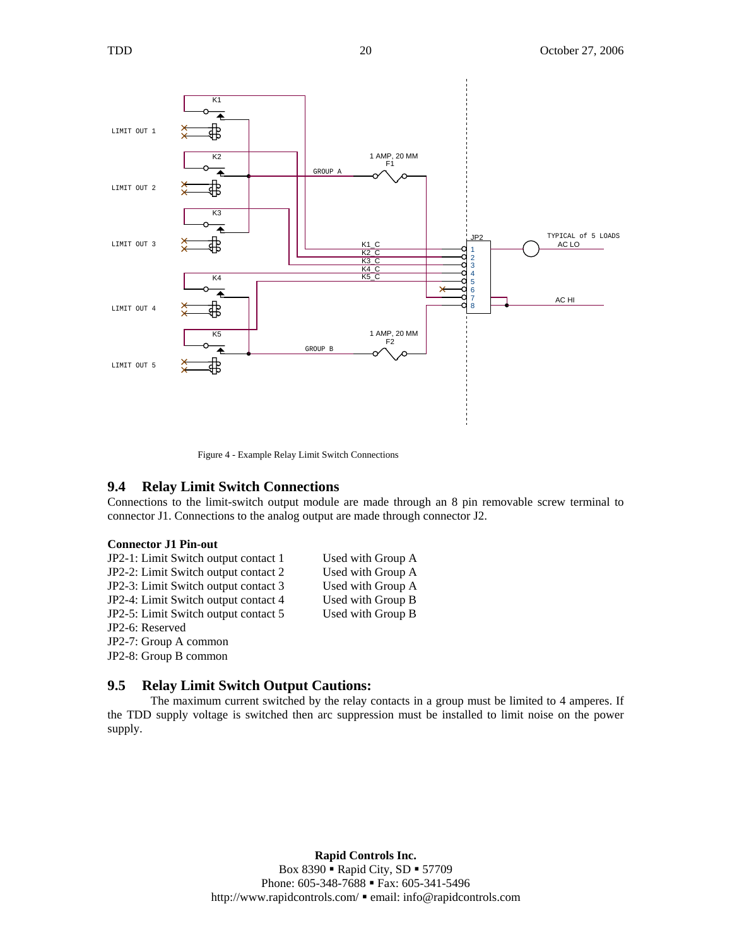



Figure 4 - Example Relay Limit Switch Connections

#### **9.4 Relay Limit Switch Connections**

Connections to the limit-switch output module are made through an 8 pin removable screw terminal to connector J1. Connections to the analog output are made through connector J2.

#### **Connector J1 Pin-out**

JP2-1: Limit Switch output contact 1 Used with Group A JP2-2: Limit Switch output contact 2 Used with Group A JP2-3: Limit Switch output contact 3 Used with Group A JP2-4: Limit Switch output contact 4 Used with Group B JP2-5: Limit Switch output contact 5 Used with Group B JP2-6: Reserved JP2-7: Group A common JP2-8: Group B common

#### **9.5 Relay Limit Switch Output Cautions:**

The maximum current switched by the relay contacts in a group must be limited to 4 amperes. If the TDD supply voltage is switched then arc suppression must be installed to limit noise on the power supply.

> **Rapid Controls Inc.**  Box 8390 • Rapid City, SD • 57709 Phone: 605-348-7688 • Fax: 605-341-5496 http://www.rapidcontrols.com/ email: info@rapidcontrols.com